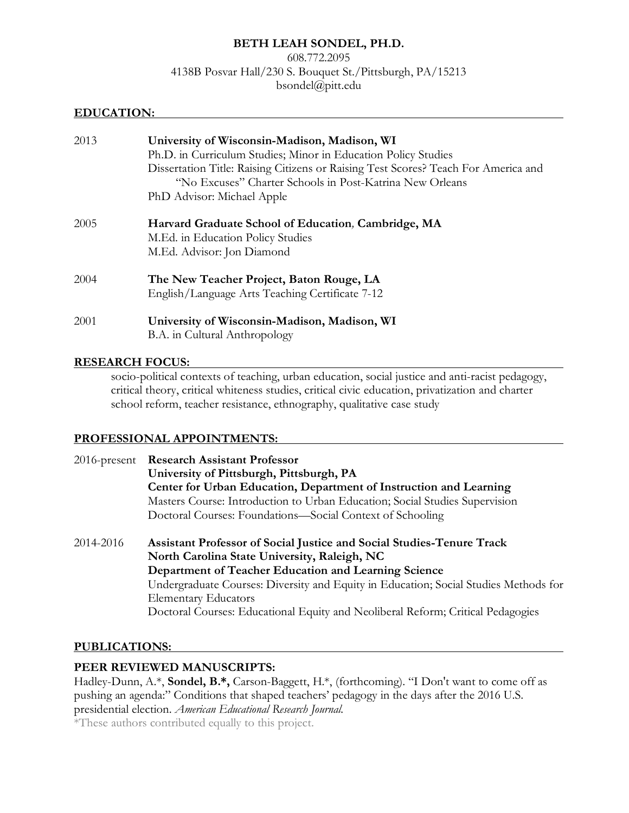### **BETH LEAH SONDEL, PH.D.**

608.772.2095 4138B Posvar Hall/230 S. Bouquet St./Pittsburgh, PA/15213 bsondel@pitt.edu

#### **EDUCATION:**

| 2013 | University of Wisconsin-Madison, Madison, WI<br>Ph.D. in Curriculum Studies; Minor in Education Policy Studies<br>Dissertation Title: Raising Citizens or Raising Test Scores? Teach For America and<br>"No Excuses" Charter Schools in Post-Katrina New Orleans<br>PhD Advisor: Michael Apple |
|------|------------------------------------------------------------------------------------------------------------------------------------------------------------------------------------------------------------------------------------------------------------------------------------------------|
| 2005 | Harvard Graduate School of Education, Cambridge, MA<br>M.Ed. in Education Policy Studies<br>M.Ed. Advisor: Jon Diamond                                                                                                                                                                         |
| 2004 | The New Teacher Project, Baton Rouge, LA<br>English/Language Arts Teaching Certificate 7-12                                                                                                                                                                                                    |
| 2001 | University of Wisconsin-Madison, Madison, WI<br>B.A. in Cultural Anthropology                                                                                                                                                                                                                  |

#### **RESEARCH FOCUS:**

socio-political contexts of teaching, urban education, social justice and anti-racist pedagogy, critical theory, critical whiteness studies, critical civic education, privatization and charter school reform, teacher resistance, ethnography, qualitative case study

#### **PROFESSIONAL APPOINTMENTS:**

| $2016$ -present | <b>Research Assistant Professor</b>                                                  |
|-----------------|--------------------------------------------------------------------------------------|
|                 | University of Pittsburgh, Pittsburgh, PA                                             |
|                 | Center for Urban Education, Department of Instruction and Learning                   |
|                 | Masters Course: Introduction to Urban Education; Social Studies Supervision          |
|                 | Doctoral Courses: Foundations—Social Context of Schooling                            |
| 2014-2016       | Assistant Professor of Social Justice and Social Studies-Tenure Track                |
|                 | North Carolina State University, Raleigh, NC                                         |
|                 | Department of Teacher Education and Learning Science                                 |
|                 | Undergraduate Courses: Diversity and Equity in Education; Social Studies Methods for |
|                 | <b>Elementary Educators</b>                                                          |
|                 | Doctoral Courses: Educational Equity and Neoliberal Reform; Critical Pedagogies      |

#### **PUBLICATIONS:**

### **PEER REVIEWED MANUSCRIPTS:**

Hadley-Dunn, A.\*, **Sondel, B.\*,** Carson-Baggett, H.\*, (forthcoming). "I Don't want to come off as pushing an agenda:" Conditions that shaped teachers' pedagogy in the days after the 2016 U.S. presidential election. *American Educational Research Journal.* 

\*These authors contributed equally to this project.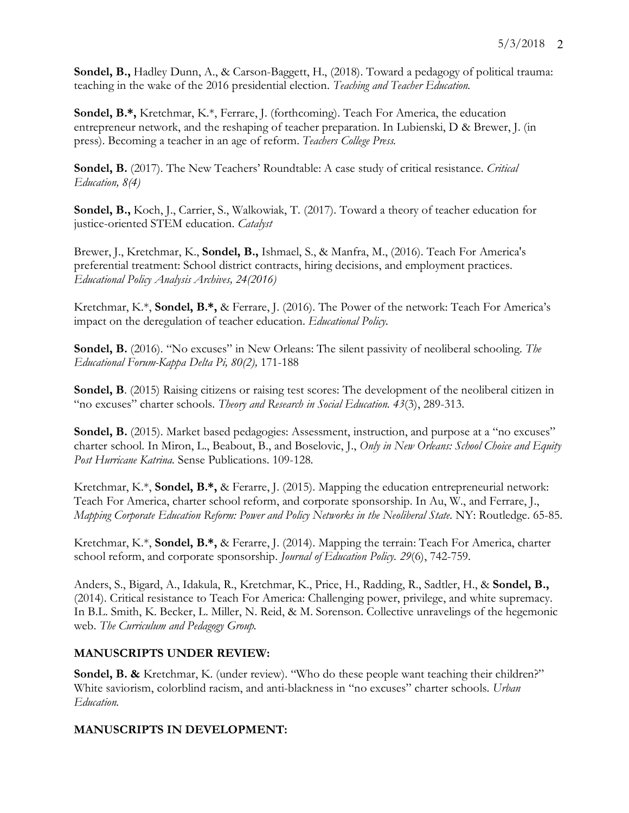**Sondel, B.,** Hadley Dunn, A., & Carson-Baggett, H., (2018). Toward a pedagogy of political trauma: teaching in the wake of the 2016 presidential election. *Teaching and Teacher Education.*

**Sondel, B.\*,** Kretchmar, K.\*, Ferrare, J. (forthcoming). Teach For America, the education entrepreneur network, and the reshaping of teacher preparation. In Lubienski, D & Brewer, J. (in press). Becoming a teacher in an age of reform. *Teachers College Press.* 

**Sondel, B.** (2017). The New Teachers' Roundtable: A case study of critical resistance. *Critical Education, 8(4)*

**Sondel, B.,** Koch, J., Carrier, S., Walkowiak, T. (2017). Toward a theory of teacher education for justice-oriented STEM education. *Catalyst*

Brewer, J., Kretchmar, K., **Sondel, B.,** Ishmael, S., & Manfra, M., (2016). Teach For America's preferential treatment: School district contracts, hiring decisions, and employment practices. *Educational Policy Analysis Archives, 24(2016)*

Kretchmar, K.\*, **Sondel, B.\*,** & Ferrare, J. (2016). The Power of the network: Teach For America's impact on the deregulation of teacher education. *Educational Policy.*

**Sondel, B.** (2016). "No excuses" in New Orleans: The silent passivity of neoliberal schooling. The *Educational Forum-Kappa Delta Pi, 80(2),* 171-188

**Sondel, B**. (2015) Raising citizens or raising test scores: The development of the neoliberal citizen in "no excuses" charter schools. *Theory and Research in Social Education. 43*(3), 289-313.

**Sondel, B.** (2015). Market based pedagogies: Assessment, instruction, and purpose at a "no excuses" charter school. In Miron, L., Beabout, B., and Boselovic, J., *Only in New Orleans: School Choice and Equity Post Hurricane Katrina.* Sense Publications. 109-128.

Kretchmar, K.\*, **Sondel, B.\*,** & Ferarre, J. (2015). Mapping the education entrepreneurial network: Teach For America, charter school reform, and corporate sponsorship. In Au, W., and Ferrare, J., *Mapping Corporate Education Reform: Power and Policy Networks in the Neoliberal State.* NY: Routledge. 65-85.

Kretchmar, K.\*, **Sondel, B.\*,** & Ferarre, J. (2014). Mapping the terrain: Teach For America, charter school reform, and corporate sponsorship. *Journal of Education Policy. 29*(6), 742-759.

Anders, S., Bigard, A., Idakula, R., Kretchmar, K., Price, H., Radding, R., Sadtler, H., & **Sondel, B.,** (2014). Critical resistance to Teach For America: Challenging power, privilege, and white supremacy. In B.L. Smith, K. Becker, L. Miller, N. Reid, & M. Sorenson. Collective unravelings of the hegemonic web. *The Curriculum and Pedagogy Group.*

### **MANUSCRIPTS UNDER REVIEW:**

**Sondel, B. &** Kretchmar, K. (under review). "Who do these people want teaching their children?" White saviorism, colorblind racism, and anti-blackness in "no excuses" charter schools. *Urban Education.*

### **MANUSCRIPTS IN DEVELOPMENT:**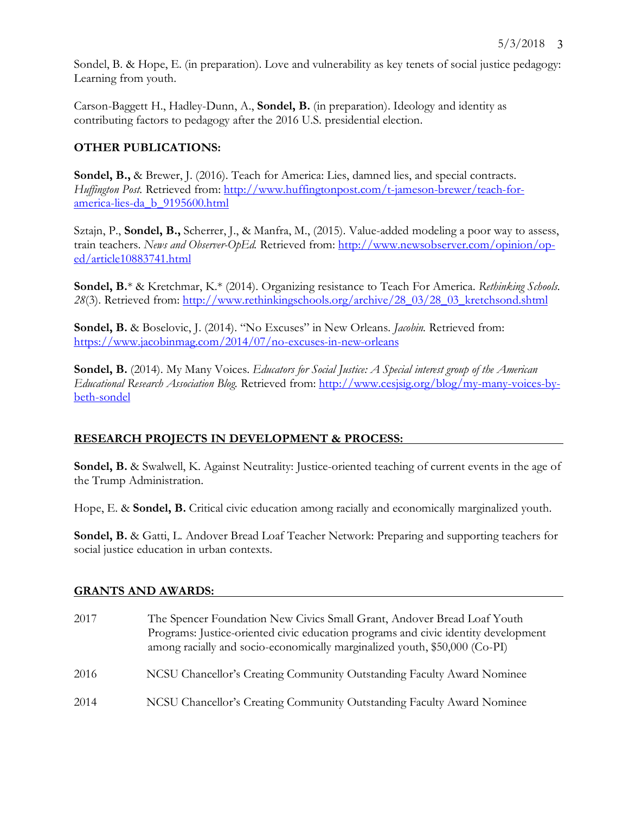Sondel, B. & Hope, E. (in preparation). Love and vulnerability as key tenets of social justice pedagogy: Learning from youth.

Carson-Baggett H., Hadley-Dunn, A., **Sondel, B.** (in preparation). Ideology and identity as contributing factors to pedagogy after the 2016 U.S. presidential election.

# **OTHER PUBLICATIONS:**

**Sondel, B.,** & Brewer, J. (2016). Teach for America: Lies, damned lies, and special contracts. *Huffington Post.* Retrieved from: http://www.huffingtonpost.com/t-jameson-brewer/teach-foramerica-lies-da\_b\_9195600.html

Sztajn, P., **Sondel, B.,** Scherrer, J., & Manfra, M., (2015). Value-added modeling a poor way to assess, train teachers. *News and Observer-OpEd.* Retrieved from: http://www.newsobserver.com/opinion/oped/article10883741.html

**Sondel, B.**\* & Kretchmar, K.\* (2014). Organizing resistance to Teach For America. *Rethinking Schools.*  28(3). Retrieved from: http://www.rethinkingschools.org/archive/28\_03/28\_03\_kretchsond.shtml

**Sondel, B.** & Boselovic, J. (2014). "No Excuses" in New Orleans. *Jacobin.* Retrieved from: https://www.jacobinmag.com/2014/07/no-excuses-in-new-orleans

**Sondel, B.** (2014). My Many Voices. *Educators for Social Justice: A Special interest group of the American Educational Research Association Blog.* Retrieved from: http://www.cesjsig.org/blog/my-many-voices-bybeth-sondel

# **RESEARCH PROJECTS IN DEVELOPMENT & PROCESS:**

**Sondel, B.** & Swalwell, K. Against Neutrality: Justice-oriented teaching of current events in the age of the Trump Administration.

Hope, E. & **Sondel, B.** Critical civic education among racially and economically marginalized youth.

**Sondel, B.** & Gatti, L. Andover Bread Loaf Teacher Network: Preparing and supporting teachers for social justice education in urban contexts.

### **GRANTS AND AWARDS:**

2017 The Spencer Foundation New Civics Small Grant, Andover Bread Loaf Youth Programs: Justice-oriented civic education programs and civic identity development among racially and socio-economically marginalized youth, \$50,000 (Co-PI) 2016 NCSU Chancellor's Creating Community Outstanding Faculty Award Nominee 2014 NCSU Chancellor's Creating Community Outstanding Faculty Award Nominee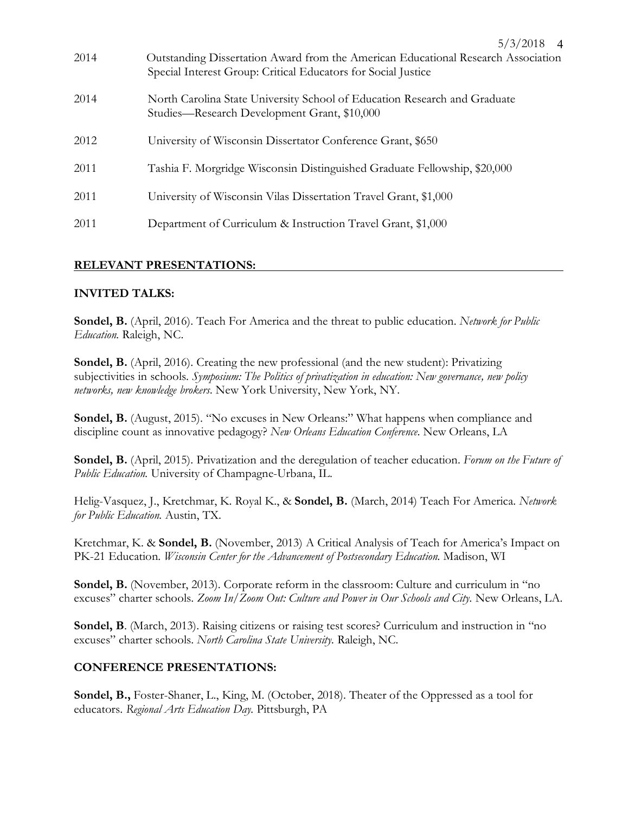| 2014 | Outstanding Dissertation Award from the American Educational Research Association<br>Special Interest Group: Critical Educators for Social Justice |
|------|----------------------------------------------------------------------------------------------------------------------------------------------------|
| 2014 | North Carolina State University School of Education Research and Graduate<br>Studies—Research Development Grant, \$10,000                          |
| 2012 | University of Wisconsin Dissertator Conference Grant, \$650                                                                                        |
| 2011 | Tashia F. Morgridge Wisconsin Distinguished Graduate Fellowship, \$20,000                                                                          |
| 2011 | University of Wisconsin Vilas Dissertation Travel Grant, \$1,000                                                                                   |
| 2011 | Department of Curriculum & Instruction Travel Grant, \$1,000                                                                                       |

5/3/2018 4

### **RELEVANT PRESENTATIONS:**

### **INVITED TALKS:**

**Sondel, B.** (April, 2016). Teach For America and the threat to public education. *Network for Public Education.* Raleigh, NC.

**Sondel, B.** (April, 2016). Creating the new professional (and the new student): Privatizing subjectivities in schools. *Symposium: The Politics of privatization in education: New governance, new policy networks, new knowledge brokers.* New York University, New York, NY.

Sondel, B. (August, 2015). "No excuses in New Orleans:" What happens when compliance and discipline count as innovative pedagogy? *New Orleans Education Conference.* New Orleans, LA

**Sondel, B.** (April, 2015). Privatization and the deregulation of teacher education. *Forum on the Future of Public Education.* University of Champagne-Urbana, IL.

Helig-Vasquez, J., Kretchmar, K. Royal K., & **Sondel, B.** (March, 2014) Teach For America. *Network for Public Education.* Austin, TX.

Kretchmar, K. & **Sondel, B.** (November, 2013) A Critical Analysis of Teach for America's Impact on PK-21 Education. *Wisconsin Center for the Advancement of Postsecondary Education.* Madison, WI

**Sondel, B.** (November, 2013). Corporate reform in the classroom: Culture and curriculum in "no excuses" charter schools. *Zoom In/Zoom Out: Culture and Power in Our Schools and City.* New Orleans, LA.

Sondel, B. (March, 2013). Raising citizens or raising test scores? Curriculum and instruction in "no excuses" charter schools. *North Carolina State University.* Raleigh, NC.

#### **CONFERENCE PRESENTATIONS:**

**Sondel, B.,** Foster-Shaner, L., King, M. (October, 2018). Theater of the Oppressed as a tool for educators. *Regional Arts Education Day.* Pittsburgh, PA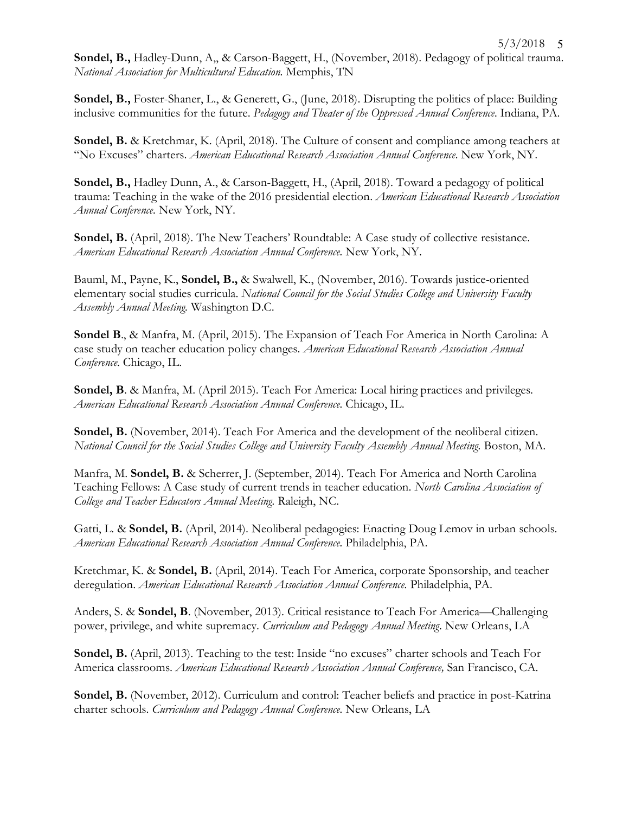**Sondel, B.,** Hadley-Dunn, A,, & Carson-Baggett, H., (November, 2018). Pedagogy of political trauma. *National Association for Multicultural Education.* Memphis, TN

**Sondel, B.,** Foster-Shaner, L., & Generett, G., (June, 2018). Disrupting the politics of place: Building inclusive communities for the future. *Pedagogy and Theater of the Oppressed Annual Conference.* Indiana, PA.

**Sondel, B.** & Kretchmar, K. (April, 2018). The Culture of consent and compliance among teachers at "No Excuses" charters. *American Educational Research Association Annual Conference.* New York, NY.

**Sondel, B.,** Hadley Dunn, A., & Carson-Baggett, H., (April, 2018). Toward a pedagogy of political trauma: Teaching in the wake of the 2016 presidential election. *American Educational Research Association Annual Conference.* New York, NY.

**Sondel, B.** (April, 2018). The New Teachers' Roundtable: A Case study of collective resistance. *American Educational Research Association Annual Conference.* New York, NY.

Bauml, M., Payne, K., **Sondel, B.,** & Swalwell, K., (November, 2016). Towards justice-oriented elementary social studies curricula. *National Council for the Social Studies College and University Faculty Assembly Annual Meeting.* Washington D.C.

**Sondel B**., & Manfra, M. (April, 2015). The Expansion of Teach For America in North Carolina: A case study on teacher education policy changes. *American Educational Research Association Annual Conference.* Chicago, IL.

**Sondel, B**. & Manfra, M. (April 2015). Teach For America: Local hiring practices and privileges. *American Educational Research Association Annual Conference.* Chicago, IL.

**Sondel, B.** (November, 2014). Teach For America and the development of the neoliberal citizen. *National Council for the Social Studies College and University Faculty Assembly Annual Meeting.* Boston, MA.

Manfra, M. **Sondel, B.** & Scherrer, J. (September, 2014). Teach For America and North Carolina Teaching Fellows: A Case study of current trends in teacher education. *North Carolina Association of College and Teacher Educators Annual Meeting.* Raleigh, NC.

Gatti, L. & **Sondel, B.** (April, 2014). Neoliberal pedagogies: Enacting Doug Lemov in urban schools. *American Educational Research Association Annual Conference.* Philadelphia, PA.

Kretchmar, K. & **Sondel, B.** (April, 2014). Teach For America, corporate Sponsorship, and teacher deregulation. *American Educational Research Association Annual Conference.* Philadelphia, PA.

Anders, S. & **Sondel, B**. (November, 2013). Critical resistance to Teach For America—Challenging power, privilege, and white supremacy. *Curriculum and Pedagogy Annual Meeting*. New Orleans, LA

**Sondel, B.** (April, 2013). Teaching to the test: Inside "no excuses" charter schools and Teach For America classrooms. *American Educational Research Association Annual Conference,* San Francisco, CA.

**Sondel, B.** (November, 2012). Curriculum and control: Teacher beliefs and practice in post-Katrina charter schools. *Curriculum and Pedagogy Annual Conference.* New Orleans, LA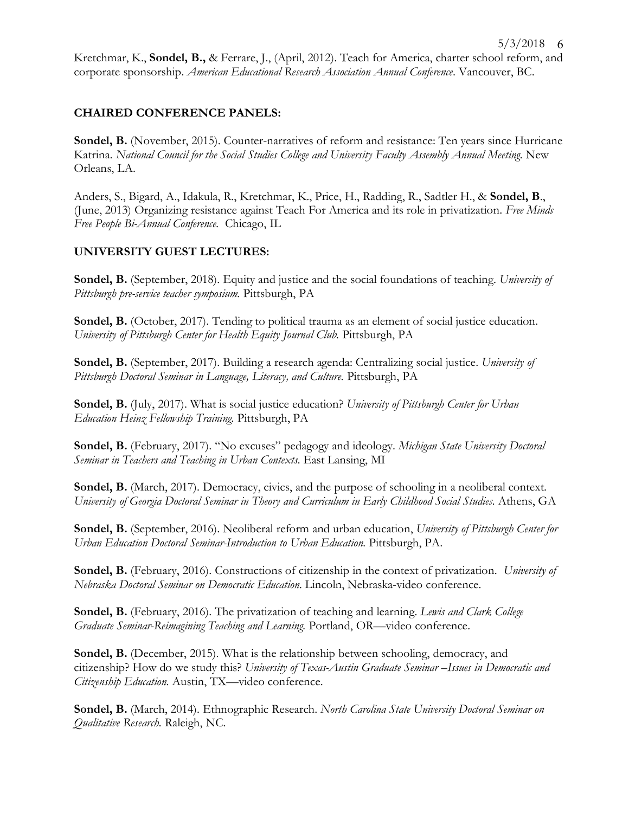# **CHAIRED CONFERENCE PANELS:**

Sondel, B. (November, 2015). Counter-narratives of reform and resistance: Ten years since Hurricane Katrina. *National Council for the Social Studies College and University Faculty Assembly Annual Meeting.* New Orleans, LA.

Anders, S., Bigard, A., Idakula, R., Kretchmar, K., Price, H., Radding, R., Sadtler H., & **Sondel, B**., (June, 2013) Organizing resistance against Teach For America and its role in privatization. *Free Minds Free People Bi-Annual Conference.* Chicago, IL

### **UNIVERSITY GUEST LECTURES:**

**Sondel, B.** (September, 2018). Equity and justice and the social foundations of teaching. *University of Pittsburgh pre-service teacher symposium.* Pittsburgh, PA

Sondel, B. (October, 2017). Tending to political trauma as an element of social justice education. *University of Pittsburgh Center for Health Equity Journal Club. Pittsburgh, PA* 

**Sondel, B.** (September, 2017). Building a research agenda: Centralizing social justice. *University of Pittsburgh Doctoral Seminar in Language, Literacy, and Culture.* Pittsburgh, PA

**Sondel, B.** (July, 2017). What is social justice education? *University of Pittsburgh Center for Urban Education Heinz Fellowship Training.* Pittsburgh, PA

**Sondel, B.** (February, 2017). "No excuses" pedagogy and ideology. *Michigan State University Doctoral Seminar in Teachers and Teaching in Urban Contexts.* East Lansing, MI

**Sondel, B.** (March, 2017). Democracy, civics, and the purpose of schooling in a neoliberal context. *University of Georgia Doctoral Seminar in Theory and Curriculum in Early Childhood Social Studies.* Athens, GA

**Sondel, B.** (September, 2016). Neoliberal reform and urban education, *University of Pittsburgh Center for Urban Education Doctoral Seminar-Introduction to Urban Education.* Pittsburgh, PA.

**Sondel, B.** (February, 2016). Constructions of citizenship in the context of privatization. *University of Nebraska Doctoral Seminar on Democratic Education.* Lincoln, Nebraska-video conference.

**Sondel, B.** (February, 2016). The privatization of teaching and learning. *Lewis and Clark College Graduate Seminar-Reimagining Teaching and Learning.* Portland, OR—video conference.

**Sondel, B.** (December, 2015). What is the relationship between schooling, democracy, and citizenship? How do we study this? *University of Texas-Austin Graduate Seminar –Issues in Democratic and Citizenship Education.* Austin, TX—video conference.

**Sondel, B.** (March, 2014). Ethnographic Research. *North Carolina State University Doctoral Seminar on Qualitative Research.* Raleigh, NC.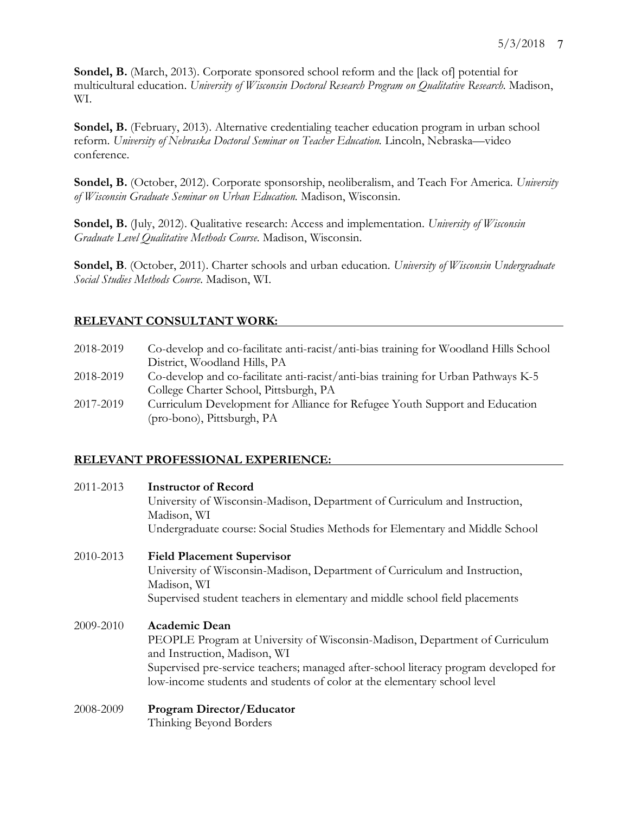Sondel, B. (March, 2013). Corporate sponsored school reform and the [lack of] potential for multicultural education. *University of Wisconsin Doctoral Research Program on Qualitative Research.* Madison, WI.

**Sondel, B.** (February, 2013). Alternative credentialing teacher education program in urban school reform. *University of Nebraska Doctoral Seminar on Teacher Education.* Lincoln, Nebraska—video conference.

**Sondel, B.** (October, 2012). Corporate sponsorship, neoliberalism, and Teach For America. *University of Wisconsin Graduate Seminar on Urban Education.* Madison, Wisconsin.

**Sondel, B.** (July, 2012). Qualitative research: Access and implementation. *University of Wisconsin Graduate Level Qualitative Methods Course.* Madison, Wisconsin.

**Sondel, B**. (October, 2011). Charter schools and urban education*. University of Wisconsin Undergraduate Social Studies Methods Course.* Madison, WI.

# **RELEVANT CONSULTANT WORK:**

| 2018-2019 | Co-develop and co-facilitate anti-racist/anti-bias training for Woodland Hills School |
|-----------|---------------------------------------------------------------------------------------|
|           | District, Woodland Hills, PA                                                          |
| 2018-2019 | Co-develop and co-facilitate anti-racist/anti-bias training for Urban Pathways K-5    |
|           | College Charter School, Pittsburgh, PA                                                |
| 2017-2019 | Curriculum Development for Alliance for Refugee Youth Support and Education           |
|           | (pro-bono), Pittsburgh, PA                                                            |

### **RELEVANT PROFESSIONAL EXPERIENCE:**

| 2011-2013 | Instructor of Record                                                                 |
|-----------|--------------------------------------------------------------------------------------|
|           | University of Wisconsin-Madison, Department of Curriculum and Instruction,           |
|           | Madison, WI                                                                          |
|           | Undergraduate course: Social Studies Methods for Elementary and Middle School        |
| 2010-2013 | <b>Field Placement Supervisor</b>                                                    |
|           | University of Wisconsin-Madison, Department of Curriculum and Instruction,           |
|           | Madison, WI                                                                          |
|           | Supervised student teachers in elementary and middle school field placements         |
| 2009-2010 | <b>Academic Dean</b>                                                                 |
|           | PEOPLE Program at University of Wisconsin-Madison, Department of Curriculum          |
|           | and Instruction, Madison, WI                                                         |
|           | Supervised pre-service teachers; managed after-school literacy program developed for |
|           | low-income students and students of color at the elementary school level             |
| 2008-2009 | <b>Program Director/Educator</b>                                                     |

Thinking Beyond Borders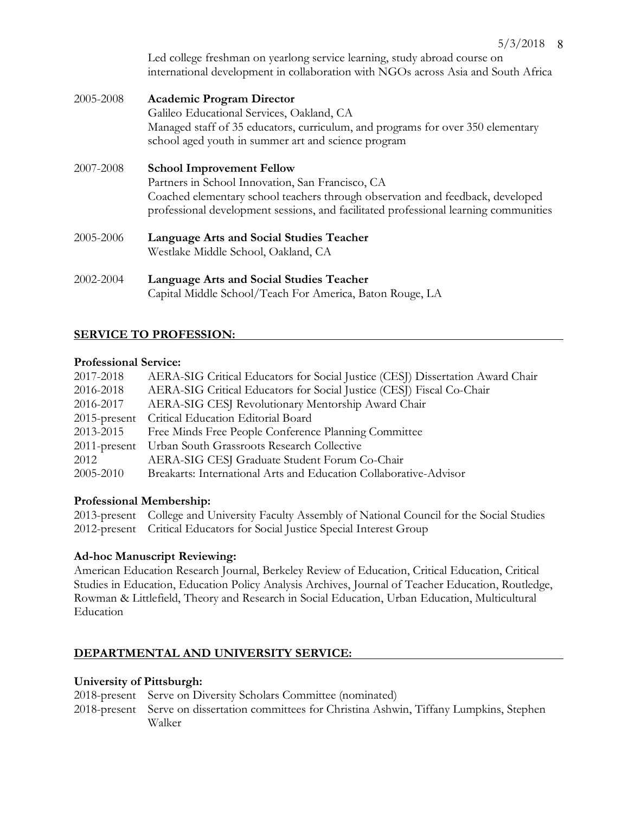Led college freshman on yearlong service learning, study abroad course on international development in collaboration with NGOs across Asia and South Africa

- 2005-2008 **Academic Program Director** Galileo Educational Services, Oakland, CA Managed staff of 35 educators, curriculum, and programs for over 350 elementary school aged youth in summer art and science program
- 2007-2008 **School Improvement Fellow** Partners in School Innovation, San Francisco, CA Coached elementary school teachers through observation and feedback, developed professional development sessions, and facilitated professional learning communities
- 2005-2006 **Language Arts and Social Studies Teacher** Westlake Middle School, Oakland, CA
- 2002-2004 **Language Arts and Social Studies Teacher** Capital Middle School/Teach For America, Baton Rouge, LA

### **SERVICE TO PROFESSION:**

#### **Professional Service:**

| 2017-2018       | AERA-SIG Critical Educators for Social Justice (CESJ) Dissertation Award Chair |
|-----------------|--------------------------------------------------------------------------------|
| 2016-2018       | AERA-SIG Critical Educators for Social Justice (CESJ) Fiscal Co-Chair          |
| 2016-2017       | AERA-SIG CESJ Revolutionary Mentorship Award Chair                             |
|                 | 2015-present Critical Education Editorial Board                                |
| 2013-2015       | Free Minds Free People Conference Planning Committee                           |
| $2011$ -present | Urban South Grassroots Research Collective                                     |
| 2012            | AERA-SIG CESJ Graduate Student Forum Co-Chair                                  |
| 2005-2010       | Breakarts: International Arts and Education Collaborative-Advisor              |

#### **Professional Membership:**

2013-present College and University Faculty Assembly of National Council for the Social Studies 2012-present Critical Educators for Social Justice Special Interest Group

#### **Ad-hoc Manuscript Reviewing:**

American Education Research Journal, Berkeley Review of Education, Critical Education, Critical Studies in Education, Education Policy Analysis Archives, Journal of Teacher Education, Routledge, Rowman & Littlefield, Theory and Research in Social Education, Urban Education, Multicultural Education

#### **DEPARTMENTAL AND UNIVERSITY SERVICE:**

#### **University of Pittsburgh:**

2018-present Serve on Diversity Scholars Committee (nominated)

2018-present Serve on dissertation committees for Christina Ashwin, Tiffany Lumpkins, Stephen Walker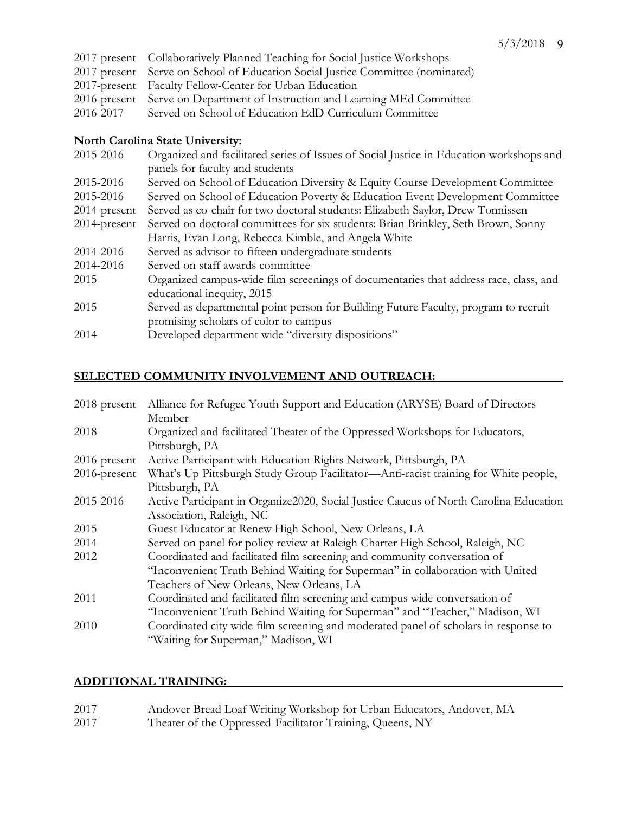| 2017-present Collaboratively Planned Teaching for Social Justice Workshops     |
|--------------------------------------------------------------------------------|
| 2017-present Serve on School of Education Social Justice Committee (nominated) |
| 2017-present Faculty Fellow-Center for Urban Education                         |
| 2016-present Serve on Department of Instruction and Learning MEd Committee     |
| 2016-2017 Served on School of Education EdD Curriculum Committee               |
|                                                                                |

### **North Carolina State University:**

| 2015-2016       | Organized and facilitated series of Issues of Social Justice in Education workshops and |
|-----------------|-----------------------------------------------------------------------------------------|
|                 | panels for faculty and students                                                         |
| 2015-2016       | Served on School of Education Diversity & Equity Course Development Committee           |
| 2015-2016       | Served on School of Education Poverty & Education Event Development Committee           |
| $2014$ -present | Served as co-chair for two doctoral students: Elizabeth Saylor, Drew Tonnissen          |
| $2014$ -present | Served on doctoral committees for six students: Brian Brinkley, Seth Brown, Sonny       |
|                 | Harris, Evan Long, Rebecca Kimble, and Angela White                                     |
| 2014-2016       | Served as advisor to fifteen undergraduate students                                     |
| 2014-2016       | Served on staff awards committee                                                        |
| 2015            | Organized campus-wide film screenings of documentaries that address race, class, and    |
|                 | educational inequity, 2015                                                              |
| 2015            | Served as departmental point person for Building Future Faculty, program to recruit     |
|                 | promising scholars of color to campus                                                   |
| 2014            | Developed department wide "diversity dispositions"                                      |
|                 |                                                                                         |

# **SELECTED COMMUNITY INVOLVEMENT AND OUTREACH:**

| $2018$ -present | Alliance for Refugee Youth Support and Education (ARYSE) Board of Directors           |
|-----------------|---------------------------------------------------------------------------------------|
|                 | Member                                                                                |
| 2018            | Organized and facilitated Theater of the Oppressed Workshops for Educators,           |
|                 | Pittsburgh, PA                                                                        |
| $2016$ -present | Active Participant with Education Rights Network, Pittsburgh, PA                      |
| 2016-present    | What's Up Pittsburgh Study Group Facilitator—Anti-racist training for White people,   |
|                 | Pittsburgh, PA                                                                        |
| 2015-2016       | Active Participant in Organize2020, Social Justice Caucus of North Carolina Education |
|                 | Association, Raleigh, NC                                                              |
| 2015            | Guest Educator at Renew High School, New Orleans, LA                                  |
| 2014            | Served on panel for policy review at Raleigh Charter High School, Raleigh, NC         |
| 2012            | Coordinated and facilitated film screening and community conversation of              |
|                 | "Inconvenient Truth Behind Waiting for Superman" in collaboration with United         |
|                 | Teachers of New Orleans, New Orleans, LA                                              |
| 2011            | Coordinated and facilitated film screening and campus wide conversation of            |
|                 | "Inconvenient Truth Behind Waiting for Superman" and "Teacher," Madison, WI           |
| 2010            | Coordinated city wide film screening and moderated panel of scholars in response to   |
|                 | "Waiting for Superman," Madison, WI                                                   |

# **ADDITIONAL TRAINING:**

| 2017 | Andover Bread Loaf Writing Workshop for Urban Educators, Andover, MA |
|------|----------------------------------------------------------------------|
| 2017 | Theater of the Oppressed-Facilitator Training, Queens, NY            |